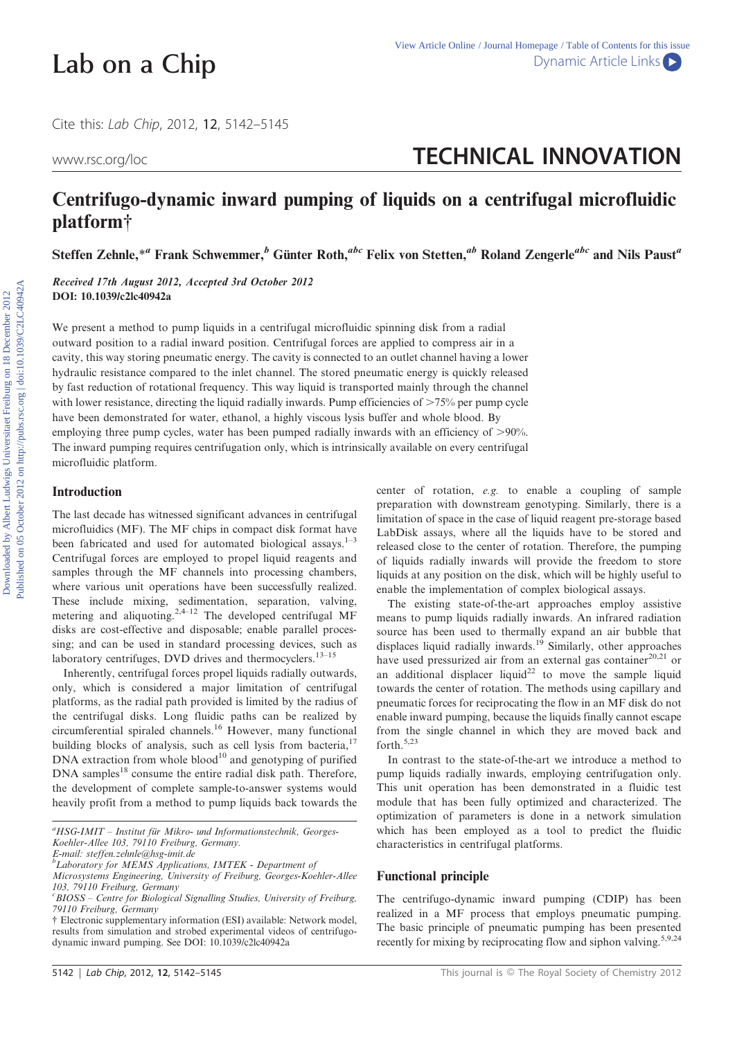Cite this: Lab Chip, 2012, <sup>12</sup>, 5142–5145

# www.rsc.org/loc**terage and the set of the STECHNICAL INNOVATION**

## Centrifugo-dynamic inward pumping of liquids on a centrifugal microfluidic platform{

Steffen Zehnle,\*<sup>a</sup> Frank Schwemmer, $\frac{b}{b}$  Günter Roth, $\frac{abc}{c}$  Felix von Stetten, $\frac{ab}{c}$  Roland Zengerle<sup>abc</sup> and Nils Paust<sup>a</sup>

Received 17th August 2012, Accepted 3rd October 2012 DOI: 10.1039/c2lc40942a

We present a method to pump liquids in a centrifugal microfluidic spinning disk from a radial outward position to a radial inward position. Centrifugal forces are applied to compress air in a cavity, this way storing pneumatic energy. The cavity is connected to an outlet channel having a lower hydraulic resistance compared to the inlet channel. The stored pneumatic energy is quickly released by fast reduction of rotational frequency. This way liquid is transported mainly through the channel with lower resistance, directing the liquid radially inwards. Pump efficiencies of  $>75\%$  per pump cycle have been demonstrated for water, ethanol, a highly viscous lysis buffer and whole blood. By employing three pump cycles, water has been pumped radially inwards with an efficiency of  $>90\%$ . The inward pumping requires centrifugation only, which is intrinsically available on every centrifugal microfluidic platform.

#### Introduction

The last decade has witnessed significant advances in centrifugal microfluidics (MF). The MF chips in compact disk format have been fabricated and used for automated biological assays. $1-3$ Centrifugal forces are employed to propel liquid reagents and samples through the MF channels into processing chambers, where various unit operations have been successfully realized. These include mixing, sedimentation, separation, valving, metering and aliquoting.<sup>2,4–12</sup> The developed centrifugal MF disks are cost-effective and disposable; enable parallel processing; and can be used in standard processing devices, such as laboratory centrifuges, DVD drives and thermocyclers.<sup>13–15</sup>

Inherently, centrifugal forces propel liquids radially outwards, only, which is considered a major limitation of centrifugal platforms, as the radial path provided is limited by the radius of the centrifugal disks. Long fluidic paths can be realized by circumferential spiraled channels.<sup>16</sup> However, many functional building blocks of analysis, such as cell lysis from bacteria, $17$ DNA extraction from whole blood<sup>10</sup> and genotyping of purified DNA samples<sup>18</sup> consume the entire radial disk path. Therefore, the development of complete sample-to-answer systems would heavily profit from a method to pump liquids back towards the center of rotation, e.g. to enable a coupling of sample preparation with downstream genotyping. Similarly, there is a limitation of space in the case of liquid reagent pre-storage based LabDisk assays, where all the liquids have to be stored and released close to the center of rotation. Therefore, the pumping of liquids radially inwards will provide the freedom to store liquids at any position on the disk, which will be highly useful to enable the implementation of complex biological assays.

The existing state-of-the-art approaches employ assistive means to pump liquids radially inwards. An infrared radiation source has been used to thermally expand an air bubble that displaces liquid radially inwards.<sup>19</sup> Similarly, other approaches have used pressurized air from an external gas container<sup>20,21</sup> or an additional displacer liquid<sup>22</sup> to move the sample liquid towards the center of rotation. The methods using capillary and pneumatic forces for reciprocating the flow in an MF disk do not enable inward pumping, because the liquids finally cannot escape from the single channel in which they are moved back and forth.5,23

In contrast to the state-of-the-art we introduce a method to pump liquids radially inwards, employing centrifugation only. This unit operation has been demonstrated in a fluidic test module that has been fully optimized and characterized. The optimization of parameters is done in a network simulation which has been employed as a tool to predict the fluidic characteristics in centrifugal platforms.

#### Functional principle

The centrifugo-dynamic inward pumping (CDIP) has been realized in a MF process that employs pneumatic pumping. The basic principle of pneumatic pumping has been presented recently for mixing by reciprocating flow and siphon valving.<sup>5,9,24</sup>

<sup>&</sup>lt;sup>a</sup>HSG-IMIT - Institut für Mikro- und Informationstechnik, Georges-Koehler-Allee 103, 79110 Freiburg, Germany. E-mail: steffen.zehnle@hsg-imit.de

 ${}^b$ Laboratory for MEMS Applications, IMTEK - Department of

Microsystems Engineering, University of Freiburg, Georges-Koehler-Allee 103, 79110 Freiburg, Germany

<sup>&</sup>lt;sup>c</sup>BIOSS - Centre for Biological Signalling Studies, University of Freiburg, 79110 Freiburg, Germany

<sup>{</sup> Electronic supplementary information (ESI) available: Network model, results from simulation and strobed experimental videos of centrifugodynamic inward pumping. See DOI: 10.1039/c2lc40942a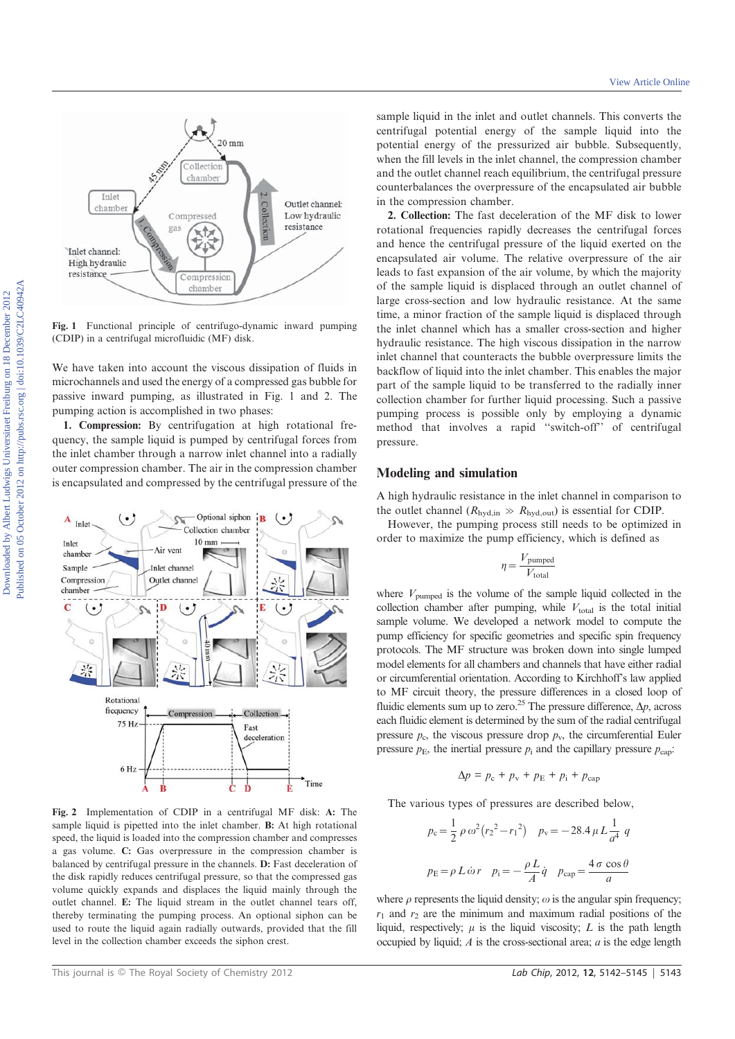

Fig. 1 Functional principle of centrifugo-dynamic inward pumping (CDIP) in a centrifugal microfluidic (MF) disk.

We have taken into account the viscous dissipation of fluids in microchannels and used the energy of a compressed gas bubble for passive inward pumping, as illustrated in Fig. 1 and 2. The pumping action is accomplished in two phases:

1. Compression: By centrifugation at high rotational frequency, the sample liquid is pumped by centrifugal forces from the inlet chamber through a narrow inlet channel into a radially outer compression chamber. The air in the compression chamber is encapsulated and compressed by the centrifugal pressure of the



Fig. 2 Implementation of CDIP in a centrifugal MF disk: A: The sample liquid is pipetted into the inlet chamber. B: At high rotational speed, the liquid is loaded into the compression chamber and compresses a gas volume. C: Gas overpressure in the compression chamber is balanced by centrifugal pressure in the channels. D: Fast deceleration of the disk rapidly reduces centrifugal pressure, so that the compressed gas volume quickly expands and displaces the liquid mainly through the outlet channel. E: The liquid stream in the outlet channel tears off, thereby terminating the pumping process. An optional siphon can be used to route the liquid again radially outwards, provided that the fill level in the collection chamber exceeds the siphon crest.

sample liquid in the inlet and outlet channels. This converts the centrifugal potential energy of the sample liquid into the potential energy of the pressurized air bubble. Subsequently, when the fill levels in the inlet channel, the compression chamber and the outlet channel reach equilibrium, the centrifugal pressure counterbalances the overpressure of the encapsulated air bubble in the compression chamber.

2. Collection: The fast deceleration of the MF disk to lower rotational frequencies rapidly decreases the centrifugal forces and hence the centrifugal pressure of the liquid exerted on the encapsulated air volume. The relative overpressure of the air leads to fast expansion of the air volume, by which the majority of the sample liquid is displaced through an outlet channel of large cross-section and low hydraulic resistance. At the same time, a minor fraction of the sample liquid is displaced through the inlet channel which has a smaller cross-section and higher hydraulic resistance. The high viscous dissipation in the narrow inlet channel that counteracts the bubble overpressure limits the backflow of liquid into the inlet chamber. This enables the major part of the sample liquid to be transferred to the radially inner collection chamber for further liquid processing. Such a passive pumping process is possible only by employing a dynamic method that involves a rapid ''switch-off'' of centrifugal pressure.

#### Modeling and simulation

A high hydraulic resistance in the inlet channel in comparison to the outlet channel ( $R_{\text{hvd,in}} \gg R_{\text{hvd,out}}$ ) is essential for CDIP.

However, the pumping process still needs to be optimized in order to maximize the pump efficiency, which is defined as

$$
\eta = \frac{V_{\text{pumped}}}{V_{\text{total}}}
$$

where  $V_{\text{pumped}}$  is the volume of the sample liquid collected in the collection chamber after pumping, while  $V_{total}$  is the total initial sample volume. We developed a network model to compute the pump efficiency for specific geometries and specific spin frequency protocols. The MF structure was broken down into single lumped model elements for all chambers and channels that have either radial or circumferential orientation. According to Kirchhoff's law applied to MF circuit theory, the pressure differences in a closed loop of fluidic elements sum up to zero.<sup>25</sup> The pressure difference,  $\Delta p$ , across each fluidic element is determined by the sum of the radial centrifugal pressure  $p_c$ , the viscous pressure drop  $p_v$ , the circumferential Euler pressure  $p_{\rm E}$ , the inertial pressure  $p_{\rm i}$  and the capillary pressure  $p_{\rm can}$ .

$$
\Delta p = p_{\rm c} + p_{\rm v} + p_{\rm E} + p_{\rm i} + p_{\rm cap}
$$

The various types of pressures are described below,

$$
p_c = \frac{1}{2} \rho \omega^2 (r_2^2 - r_1^2) \quad p_v = -28.4 \,\mu L \frac{1}{a^4} \, q
$$
  

$$
p_E = \rho L \dot{\omega} r \quad p_i = -\frac{\rho L}{A} \dot{q} \quad p_{cap} = \frac{4 \sigma \cos \theta}{a}
$$

where  $\rho$  represents the liquid density;  $\omega$  is the angular spin frequency;  $r_1$  and  $r_2$  are the minimum and maximum radial positions of the liquid, respectively;  $\mu$  is the liquid viscosity;  $L$  is the path length occupied by liquid;  $\vec{A}$  is the cross-sectional area;  $\vec{a}$  is the edge length

This journal is © The Royal Society of Chemistry 2012 **Lab Chip, 2012, 12, 5142–5145** | 5143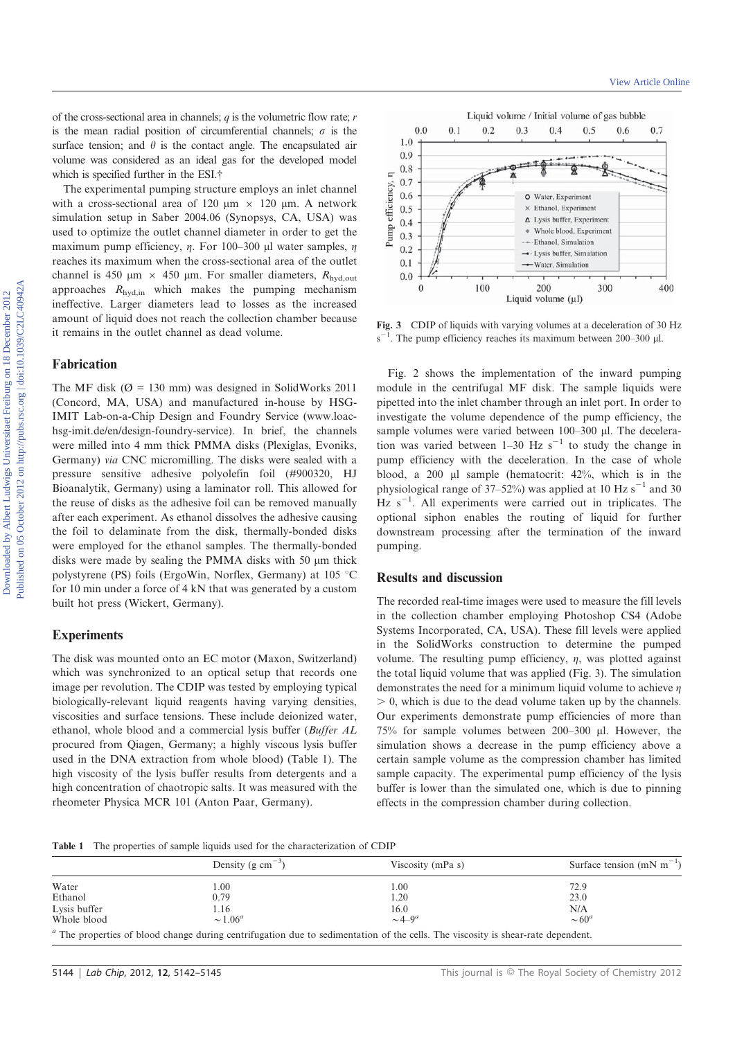of the cross-sectional area in channels;  $q$  is the volumetric flow rate;  $r$ is the mean radial position of circumferential channels;  $\sigma$  is the surface tension; and  $\theta$  is the contact angle. The encapsulated air volume was considered as an ideal gas for the developed model which is specified further in the ESI.<sup>†</sup>

The experimental pumping structure employs an inlet channel with a cross-sectional area of 120  $\mu$ m  $\times$  120  $\mu$ m. A network simulation setup in Saber 2004.06 (Synopsys, CA, USA) was used to optimize the outlet channel diameter in order to get the maximum pump efficiency,  $\eta$ . For 100–300 µl water samples,  $\eta$ reaches its maximum when the cross-sectional area of the outlet channel is 450  $\mu$ m × 450  $\mu$ m. For smaller diameters, R<sub>hyd,out</sub> approaches  $R_{\text{hyd,in}}$  which makes the pumping mechanism ineffective. Larger diameters lead to losses as the increased amount of liquid does not reach the collection chamber because it remains in the outlet channel as dead volume.

### Fabrication

The MF disk ( $\varnothing$  = 130 mm) was designed in SolidWorks 2011 (Concord, MA, USA) and manufactured in-house by HSG-IMIT Lab-on-a-Chip Design and Foundry Service (www.loachsg-imit.de/en/design-foundry-service). In brief, the channels were milled into 4 mm thick PMMA disks (Plexiglas, Evoniks, Germany) via CNC micromilling. The disks were sealed with a pressure sensitive adhesive polyolefin foil (#900320, HJ Bioanalytik, Germany) using a laminator roll. This allowed for the reuse of disks as the adhesive foil can be removed manually after each experiment. As ethanol dissolves the adhesive causing the foil to delaminate from the disk, thermally-bonded disks were employed for the ethanol samples. The thermally-bonded disks were made by sealing the PMMA disks with 50  $\mu$ m thick polystyrene (PS) foils (ErgoWin, Norflex, Germany) at  $105$  °C for 10 min under a force of 4 kN that was generated by a custom built hot press (Wickert, Germany).

#### **Experiments**

The disk was mounted onto an EC motor (Maxon, Switzerland) which was synchronized to an optical setup that records one image per revolution. The CDIP was tested by employing typical biologically-relevant liquid reagents having varying densities, viscosities and surface tensions. These include deionized water, ethanol, whole blood and a commercial lysis buffer (Buffer AL procured from Qiagen, Germany; a highly viscous lysis buffer used in the DNA extraction from whole blood) (Table 1). The high viscosity of the lysis buffer results from detergents and a high concentration of chaotropic salts. It was measured with the rheometer Physica MCR 101 (Anton Paar, Germany).



Fig. 3 CDIP of liquids with varying volumes at a deceleration of 30 Hz  $s^{-1}$ . The pump efficiency reaches its maximum between 200–300 µl.

Fig. 2 shows the implementation of the inward pumping module in the centrifugal MF disk. The sample liquids were pipetted into the inlet chamber through an inlet port. In order to investigate the volume dependence of the pump efficiency, the sample volumes were varied between 100-300 µl. The deceleration was varied between  $1-30$  Hz s<sup>-1</sup> to study the change in pump efficiency with the deceleration. In the case of whole blood, a 200  $\mu$ l sample (hematocrit: 42%, which is in the physiological range of 37–52%) was applied at 10 Hz  $s^{-1}$  and 30 Hz  $s^{-1}$ . All experiments were carried out in triplicates. The optional siphon enables the routing of liquid for further downstream processing after the termination of the inward pumping.

#### Results and discussion

The recorded real-time images were used to measure the fill levels in the collection chamber employing Photoshop CS4 (Adobe Systems Incorporated, CA, USA). These fill levels were applied in the SolidWorks construction to determine the pumped volume. The resulting pump efficiency,  $\eta$ , was plotted against the total liquid volume that was applied (Fig. 3). The simulation demonstrates the need for a minimum liquid volume to achieve  $\eta$  $> 0$ , which is due to the dead volume taken up by the channels. Our experiments demonstrate pump efficiencies of more than 75% for sample volumes between 200–300 ml. However, the simulation shows a decrease in the pump efficiency above a certain sample volume as the compression chamber has limited sample capacity. The experimental pump efficiency of the lysis buffer is lower than the simulated one, which is due to pinning effects in the compression chamber during collection.

Table 1 The properties of sample liquids used for the characterization of CDIP

|              | Density (g cm <sup><math>-3</math></sup> )                                                                                       | Viscosity (mPa s) | Surface tension (mN m <sup>-1</sup> ) |
|--------------|----------------------------------------------------------------------------------------------------------------------------------|-------------------|---------------------------------------|
| Water        | .00                                                                                                                              | 00.               | 72.9                                  |
| Ethanol      | 0.79                                                                                                                             | .20               | 23.0                                  |
| Lysis buffer | 1.16                                                                                                                             | 16.0              | N/A                                   |
| Whole blood  | $\sim 1.06^a$                                                                                                                    | $\sim$ 4 $-9^a$   | $\sim 60^a$                           |
|              | " The properties of blood change during centrifugation due to sedimentation of the cells. The viscosity is shear-rate dependent. |                   |                                       |